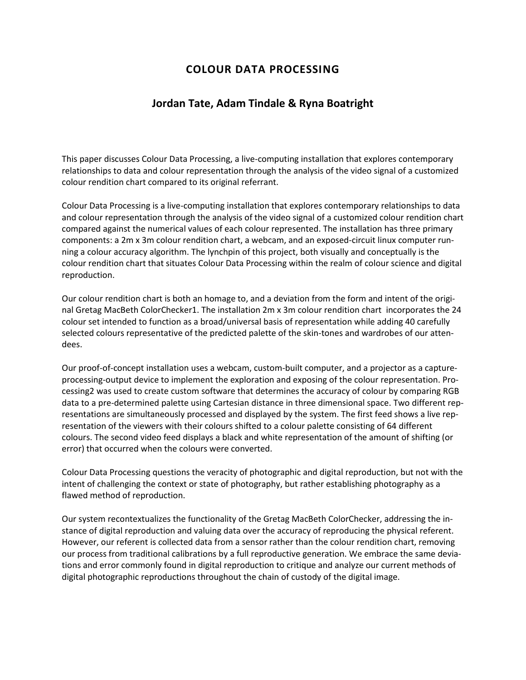## **COLOUR DATA PROCESSING**

## **Jordan Tate, Adam Tindale & Ryna Boatright**

This paper discusses Colour Data Processing, a live-computing installation that explores contemporary relationships to data and colour representation through the analysis of the video signal of a customized colour rendition chart compared to its original referrant.

Colour Data Processing is a live-computing installation that explores contemporary relationships to data and colour representation through the analysis of the video signal of a customized colour rendition chart compared against the numerical values of each colour represented. The installation has three primary components: a 2m x 3m colour rendition chart, a webcam, and an exposed-circuit linux computer running a colour accuracy algorithm. The lynchpin of this project, both visually and conceptually is the colour rendition chart that situates Colour Data Processing within the realm of colour science and digital reproduction.

Our colour rendition chart is both an homage to, and a deviation from the form and intent of the original Gretag MacBeth ColorChecker1. The installation 2m x 3m colour rendition chart incorporates the 24 colour set intended to function as a broad/universal basis of representation while adding 40 carefully selected colours representative of the predicted palette of the skin-tones and wardrobes of our attendees.

Our proof-of-concept installation uses a webcam, custom-built computer, and a projector as a captureprocessing-output device to implement the exploration and exposing of the colour representation. Processing2 was used to create custom software that determines the accuracy of colour by comparing RGB data to a pre-determined palette using Cartesian distance in three dimensional space. Two different representations are simultaneously processed and displayed by the system. The first feed shows a live representation of the viewers with their colours shifted to a colour palette consisting of 64 different colours. The second video feed displays a black and white representation of the amount of shifting (or error) that occurred when the colours were converted.

Colour Data Processing questions the veracity of photographic and digital reproduction, but not with the intent of challenging the context or state of photography, but rather establishing photography as a flawed method of reproduction.

Our system recontextualizes the functionality of the Gretag MacBeth ColorChecker, addressing the instance of digital reproduction and valuing data over the accuracy of reproducing the physical referent. However, our referent is collected data from a sensor rather than the colour rendition chart, removing our process from traditional calibrations by a full reproductive generation. We embrace the same deviations and error commonly found in digital reproduction to critique and analyze our current methods of digital photographic reproductions throughout the chain of custody of the digital image.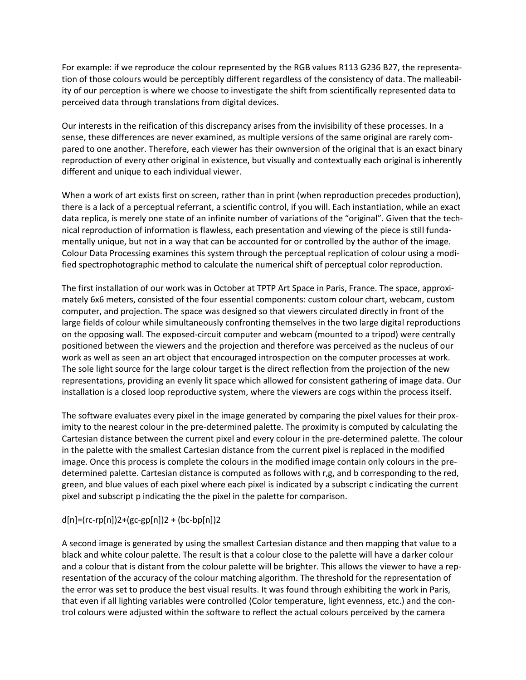For example: if we reproduce the colour represented by the RGB values R113 G236 B27, the representation of those colours would be perceptibly different regardless of the consistency of data. The malleability of our perception is where we choose to investigate the shift from scientifically represented data to perceived data through translations from digital devices.

Our interests in the reification of this discrepancy arises from the invisibility of these processes. In a sense, these differences are never examined, as multiple versions of the same original are rarely compared to one another. Therefore, each viewer has their ownversion of the original that is an exact binary reproduction of every other original in existence, but visually and contextually each original is inherently different and unique to each individual viewer.

When a work of art exists first on screen, rather than in print (when reproduction precedes production), there is a lack of a perceptual referrant, a scientific control, if you will. Each instantiation, while an exact data replica, is merely one state of an infinite number of variations of the "original". Given that the technical reproduction of information is flawless, each presentation and viewing of the piece is still fundamentally unique, but not in a way that can be accounted for or controlled by the author of the image. Colour Data Processing examines this system through the perceptual replication of colour using a modified spectrophotographic method to calculate the numerical shift of perceptual color reproduction.

The first installation of our work was in October at TPTP Art Space in Paris, France. The space, approximately 6x6 meters, consisted of the four essential components: custom colour chart, webcam, custom computer, and projection. The space was designed so that viewers circulated directly in front of the large fields of colour while simultaneously confronting themselves in the two large digital reproductions on the opposing wall. The exposed-circuit computer and webcam (mounted to a tripod) were centrally positioned between the viewers and the projection and therefore was perceived as the nucleus of our work as well as seen an art object that encouraged introspection on the computer processes at work. The sole light source for the large colour target is the direct reflection from the projection of the new representations, providing an evenly lit space which allowed for consistent gathering of image data. Our installation is a closed loop reproductive system, where the viewers are cogs within the process itself.

The software evaluates every pixel in the image generated by comparing the pixel values for their proximity to the nearest colour in the pre-determined palette. The proximity is computed by calculating the Cartesian distance between the current pixel and every colour in the pre-determined palette. The colour in the palette with the smallest Cartesian distance from the current pixel is replaced in the modified image. Once this process is complete the colours in the modified image contain only colours in the predetermined palette. Cartesian distance is computed as follows with r,g, and b corresponding to the red, green, and blue values of each pixel where each pixel is indicated by a subscript c indicating the current pixel and subscript p indicating the the pixel in the palette for comparison.

## $d[n] = (rc-rp[n])2 + (gc-gp[n])2 + (bc-bp[n])2$

A second image is generated by using the smallest Cartesian distance and then mapping that value to a black and white colour palette. The result is that a colour close to the palette will have a darker colour and a colour that is distant from the colour palette will be brighter. This allows the viewer to have a representation of the accuracy of the colour matching algorithm. The threshold for the representation of the error was set to produce the best visual results. It was found through exhibiting the work in Paris, that even if all lighting variables were controlled (Color temperature, light evenness, etc.) and the control colours were adjusted within the software to reflect the actual colours perceived by the camera